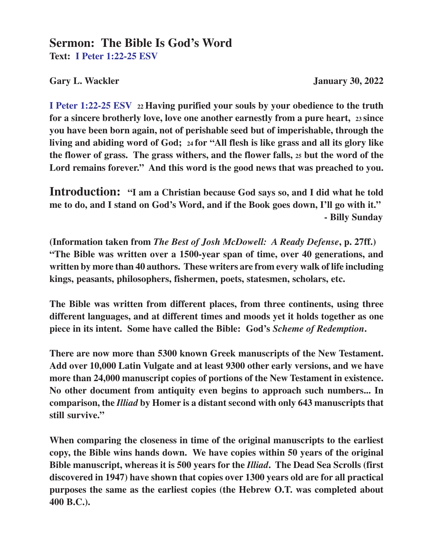## **Sermon: The Bible Is God's Word Text: I Peter 1:22-25 ESV**

Gary L. Wackler **January 30, 2022** 

**I Peter 1:22-25 ESV 22 Having purified your souls by your obedience to the truth for a sincere brotherly love, love one another earnestly from a pure heart, 23 since you have been born again, not of perishable seed but of imperishable, through the living and abiding word of God; 24 for "All flesh is like grass and all its glory like the flower of grass. The grass withers, and the flower falls, 25 but the word of the Lord remains forever." And this word is the good news that was preached to you.**

**Introduction: "I am a Christian because God says so, and I did what he told me to do, and I stand on God's Word, and if the Book goes down, I'll go with it." - Billy Sunday**

**(Information taken from** *The Best of Josh McDowell: A Ready Defense***, p. 27ff.) "The Bible was written over a 1500-year span of time, over 40 generations, and written by more than 40 authors. These writers are from every walk of life including kings, peasants, philosophers, fishermen, poets, statesmen, scholars, etc.**

**The Bible was written from different places, from three continents, using three different languages, and at different times and moods yet it holds together as one piece in its intent. Some have called the Bible: God's** *Scheme of Redemption***.**

**There are now more than 5300 known Greek manuscripts of the New Testament. Add over 10,000 Latin Vulgate and at least 9300 other early versions, and we have more than 24,000 manuscript copies of portions of the New Testament in existence. No other document from antiquity even begins to approach such numbers... In comparison, the** *Illiad* **by Homer is a distant second with only 643 manuscripts that still survive."**

**When comparing the closeness in time of the original manuscripts to the earliest copy, the Bible wins hands down. We have copies within 50 years of the original Bible manuscript, whereas it is 500 years for the** *Illiad***. The Dead Sea Scrolls (first discovered in 1947) have shown that copies over 1300 years old are for all practical purposes the same as the earliest copies (the Hebrew O.T. was completed about 400 B.C.).**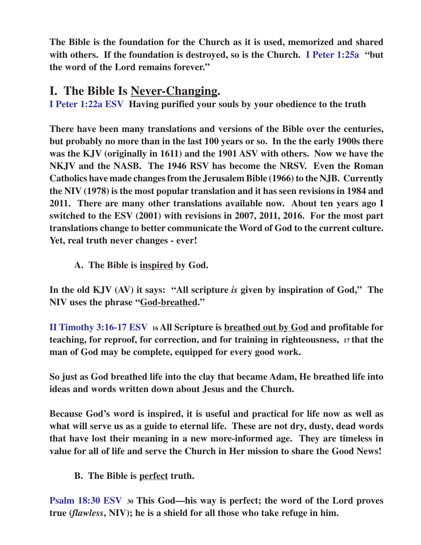**The Bible is the foundation for the Church as it is used, memorized and shared with others. If the foundation is destroyed, so is the Church. I Peter 1:25a "but the word of the Lord remains forever."**

## **I. The Bible Is Never-Changing.**

**I Peter 1:22a ESV Having purified your souls by your obedience to the truth**

**There have been many translations and versions of the Bible over the centuries, but probably no more than in the last 100 years or so. In the the early 1900s there was the KJV (originally in 1611) and the 1901 ASV with others. Now we have the NKJV and the NASB. The 1946 RSV has become the NRSV. Even the Roman Catholics have made changes from the Jerusalem Bible (1966) to the NJB. Currently the NIV (1978) is the most popular translation and it has seen revisions in 1984 and 2011. There are many other translations available now. About ten years ago I switched to the ESV (2001) with revisions in 2007, 2011, 2016. For the most part translations change to better communicate the Word of God to the current culture. Yet, real truth never changes - ever!**

**A. The Bible is inspired by God.**

**In the old KJV (AV) it says: "All scripture** *is* **given by inspiration of God," The NIV uses the phrase "God-breathed."**

**II Timothy 3:16-17 ESV 16 All Scripture is breathed out by God and profitable for teaching, for reproof, for correction, and for training in righteousness, 17 that the man of God may be complete, equipped for every good work.**

**So just as God breathed life into the clay that became Adam, He breathed life into ideas and words written down about Jesus and the Church.**

**Because God's word is inspired, it is useful and practical for life now as well as what will serve us as a guide to eternal life. These are not dry, dusty, dead words that have lost their meaning in a new more-informed age. They are timeless in value for all of life and serve the Church in Her mission to share the Good News!**

**B. The Bible is perfect truth.**

**Psalm 18:30 ESV<sup>30</sup> This God—his way is perfect; the word of the Lord proves true (***flawless***, NIV); he is a shield for all those who take refuge in him.**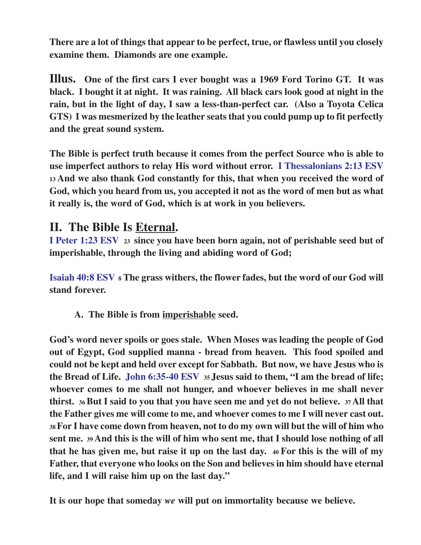**There are a lot of things that appear to be perfect, true, or flawless until you closely examine them. Diamonds are one example.**

**Illus. One of the first cars I ever bought was a 1969 Ford Torino GT. It was black. I bought it at night. It was raining. All black cars look good at night in the rain, but in the light of day, I saw a less-than-perfect car. (Also a Toyota Celica GTS) I was mesmerized by the leather seats that you could pump up to fit perfectly and the great sound system.**

**The Bible is perfect truth because it comes from the perfect Source who is able to use imperfect authors to relay His word without error. I Thessalonians 2:13 ESV <sup>13</sup>And we also thank God constantly for this, that when you received the word of God, which you heard from us, you accepted it not as the word of men but as what it really is, the word of God, which is at work in you believers.**

## **II. The Bible Is Eternal.**

**I Peter 1:23 ESV 23 since you have been born again, not of perishable seed but of imperishable, through the living and abiding word of God;**

**Isaiah 40:8 ESV<sup>8</sup> The grass withers, the flower fades, but the word of our God will stand forever.**

**A. The Bible is from imperishable seed.**

**God's word never spoils or goes stale. When Moses was leading the people of God out of Egypt, God supplied manna - bread from heaven. This food spoiled and could not be kept and held over except for Sabbath. But now, we have Jesus who is the Bread of Life. John 6:35-40 ESV 35 Jesus said to them, "I am the bread of life; whoever comes to me shall not hunger, and whoever believes in me shall never thirst. 36 But I said to you that you have seen me and yet do not believe. 37 All that the Father gives me will come to me, and whoever comes to me I will never cast out. <sup>38</sup>For I have come down from heaven, not to do my own will but the will of him who sent me. 39 And this is the will of him who sent me, that I should lose nothing of all that he has given me, but raise it up on the last day. 40 For this is the will of my Father, that everyone who looks on the Son and believes in him should have eternal life, and I will raise him up on the last day."**

**It is our hope that someday** *we* **will put on immortality because we believe.**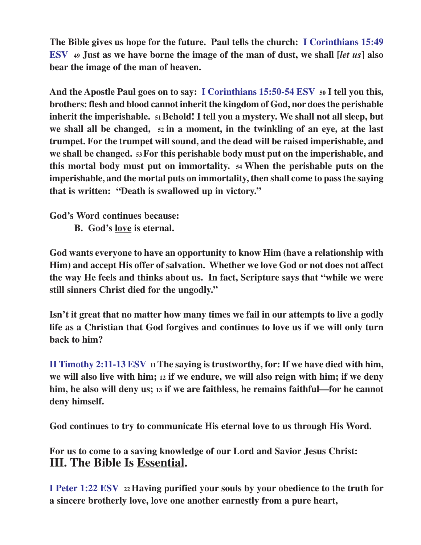**The Bible gives us hope for the future. Paul tells the church: I Corinthians 15:49 ESV 49 Just as we have borne the image of the man of dust, we shall [***let us***] also bear the image of the man of heaven.**

**And the Apostle Paul goes on to say: I Corinthians 15:50-54 ESV <sup>50</sup> I tell you this, brothers: flesh and blood cannot inherit the kingdom of God, nor does the perishable inherit the imperishable. 51 Behold! I tell you a mystery. We shall not all sleep, but we shall all be changed, 52 in a moment, in the twinkling of an eye, at the last trumpet. For the trumpet will sound, and the dead will be raised imperishable, and we shall be changed. 53 For this perishable body must put on the imperishable, and this mortal body must put on immortality. 54 When the perishable puts on the imperishable, and the mortal puts on immortality, then shall come to pass the saying that is written: "Death is swallowed up in victory."**

**God's Word continues because:**

**B. God's love is eternal.**

**God wants everyone to have an opportunity to know Him (have a relationship with Him) and accept His offer of salvation. Whether we love God or not does not affect the way He feels and thinks about us. In fact, Scripture says that "while we were still sinners Christ died for the ungodly."**

**Isn't it great that no matter how many times we fail in our attempts to live a godly life as a Christian that God forgives and continues to love us if we will only turn back to him?**

**II Timothy 2:11-13 ESV 11 The saying is trustworthy, for: If we have died with him, we will also live with him; 12 if we endure, we will also reign with him; if we deny him, he also will deny us; 13 if we are faithless, he remains faithful—for he cannot deny himself.**

**God continues to try to communicate His eternal love to us through His Word.**

**For us to come to a saving knowledge of our Lord and Savior Jesus Christ: III. The Bible Is Essential.**

**I Peter 1:22 ESV 22 Having purified your souls by your obedience to the truth for a sincere brotherly love, love one another earnestly from a pure heart,**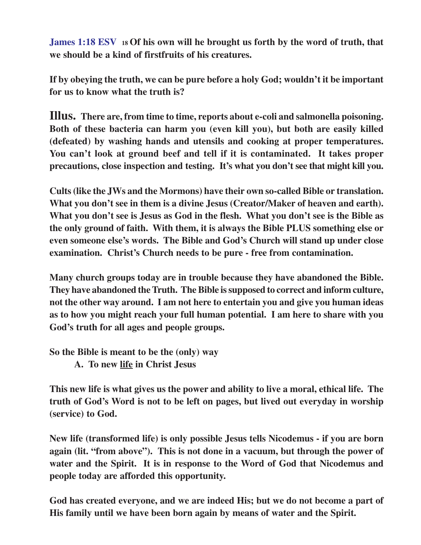**James 1:18 ESV <sup>18</sup>Of his own will he brought us forth by the word of truth, that we should be a kind of firstfruits of his creatures.**

**If by obeying the truth, we can be pure before a holy God; wouldn't it be important for us to know what the truth is?**

**Illus. There are, from time to time, reports about e-coli and salmonella poisoning. Both of these bacteria can harm you (even kill you), but both are easily killed (defeated) by washing hands and utensils and cooking at proper temperatures. You can't look at ground beef and tell if it is contaminated. It takes proper precautions, close inspection and testing. It's what you don't see that might kill you.**

**Cults (like the JWs and the Mormons) have their own so-called Bible or translation. What you don't see in them is a divine Jesus (Creator/Maker of heaven and earth). What you don't see is Jesus as God in the flesh. What you don't see is the Bible as the only ground of faith. With them, it is always the Bible PLUS something else or even someone else's words. The Bible and God's Church will stand up under close examination. Christ's Church needs to be pure - free from contamination.**

**Many church groups today are in trouble because they have abandoned the Bible. They have abandoned the Truth. The Bible is supposed to correct and inform culture, not the other way around. I am not here to entertain you and give you human ideas as to how you might reach your full human potential. I am here to share with you God's truth for all ages and people groups.**

**So the Bible is meant to be the (only) way**

**A. To new life in Christ Jesus**

**This new life is what gives us the power and ability to live a moral, ethical life. The truth of God's Word is not to be left on pages, but lived out everyday in worship (service) to God.**

**New life (transformed life) is only possible Jesus tells Nicodemus - if you are born again (lit. "from above"). This is not done in a vacuum, but through the power of water and the Spirit. It is in response to the Word of God that Nicodemus and people today are afforded this opportunity.**

**God has created everyone, and we are indeed His; but we do not become a part of His family until we have been born again by means of water and the Spirit.**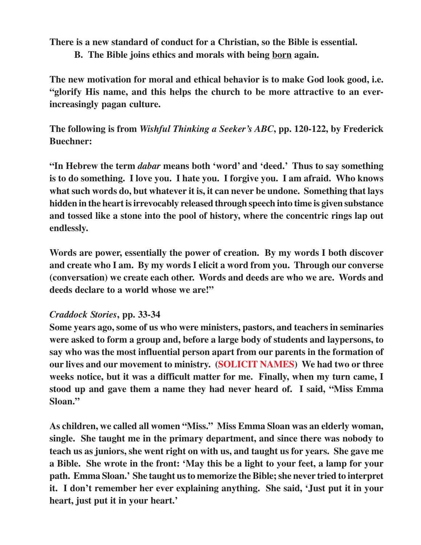**There is a new standard of conduct for a Christian, so the Bible is essential.**

**B. The Bible joins ethics and morals with being born again.**

**The new motivation for moral and ethical behavior is to make God look good, i.e. "glorify His name, and this helps the church to be more attractive to an everincreasingly pagan culture.**

**The following is from** *Wishful Thinking a Seeker's ABC***, pp. 120-122, by Frederick Buechner:**

**"In Hebrew the term** *dabar* **means both 'word' and 'deed.' Thus to say something is to do something. I love you. I hate you. I forgive you. I am afraid. Who knows what such words do, but whatever it is, it can never be undone. Something that lays hidden in the heart is irrevocably released through speech into time is given substance and tossed like a stone into the pool of history, where the concentric rings lap out endlessly.**

**Words are power, essentially the power of creation. By my words I both discover and create who I am. By my words I elicit a word from you. Through our converse (conversation) we create each other. Words and deeds are who we are. Words and deeds declare to a world whose we are!"**

## *Craddock Stories***, pp. 33-34**

**Some years ago, some of us who were ministers, pastors, and teachers in seminaries were asked to form a group and, before a large body of students and laypersons, to say who was the most influential person apart from our parents in the formation of our lives and our movement to ministry. (SOLICIT NAMES) We had two or three weeks notice, but it was a difficult matter for me. Finally, when my turn came, I stood up and gave them a name they had never heard of. I said, "Miss Emma Sloan."**

**As children, we called all women "Miss." Miss Emma Sloan was an elderly woman, single. She taught me in the primary department, and since there was nobody to teach us as juniors, she went right on with us, and taught us for years. She gave me a Bible. She wrote in the front: 'May this be a light to your feet, a lamp for your path. Emma Sloan.' She taught us to memorize the Bible; she never tried to interpret it. I don't remember her ever explaining anything. She said, 'Just put it in your heart, just put it in your heart.'**